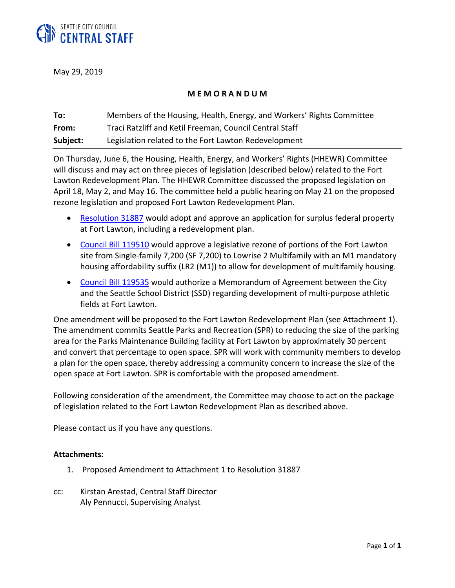

May 29, 2019

## **M E M O R A N D U M**

| To:      | Members of the Housing, Health, Energy, and Workers' Rights Committee |
|----------|-----------------------------------------------------------------------|
| From:    | Traci Ratzliff and Ketil Freeman, Council Central Staff               |
| Subject: | Legislation related to the Fort Lawton Redevelopment                  |

On Thursday, June 6, the Housing, Health, Energy, and Workers' Rights (HHEWR) Committee will discuss and may act on three pieces of legislation (described below) related to the Fort Lawton Redevelopment Plan. The HHEWR Committee discussed the proposed legislation on April 18, May 2, and May 16. The committee held a public hearing on May 21 on the proposed rezone legislation and proposed Fort Lawton Redevelopment Plan.

- [Resolution 31887](http://seattle.legistar.com/LegislationDetail.aspx?ID=3938583&GUID=1AC0A044-FD2D-42FE-97E9-1E0FE16343D0&Options=ID|Text|&Search=31887) would adopt and approve an application for surplus federal property at Fort Lawton, including a redevelopment plan.
- [Council Bill 119510](http://seattle.legistar.com/LegislationDetail.aspx?ID=3938570&GUID=281B4D06-15E6-4ED5-8C4C-F18523612BF9&Options=ID|Text|&Search=119510) would approve a legislative rezone of portions of the Fort Lawton site from Single-family 7,200 (SF 7,200) to Lowrise 2 Multifamily with an M1 mandatory housing affordability suffix (LR2 (M1)) to allow for development of multifamily housing.
- [Council Bill](http://seattle.legistar.com/LegislationDetail.aspx?ID=3957290&GUID=C790ACFD-DB7B-41A9-9BB0-910FAA5F9568&Options=ID|Text|&Search=119535) 119535 would authorize a Memorandum of Agreement between the City and the Seattle School District (SSD) regarding development of multi-purpose athletic fields at Fort Lawton.

One amendment will be proposed to the Fort Lawton Redevelopment Plan (see Attachment 1). The amendment commits Seattle Parks and Recreation (SPR) to reducing the size of the parking area for the Parks Maintenance Building facility at Fort Lawton by approximately 30 percent and convert that percentage to open space. SPR will work with community members to develop a plan for the open space, thereby addressing a community concern to increase the size of the open space at Fort Lawton. SPR is comfortable with the proposed amendment.

Following consideration of the amendment, the Committee may choose to act on the package of legislation related to the Fort Lawton Redevelopment Plan as described above.

Please contact us if you have any questions.

## **Attachments:**

- 1. Proposed Amendment to Attachment 1 to Resolution 31887
- cc: Kirstan Arestad, Central Staff Director Aly Pennucci, Supervising Analyst